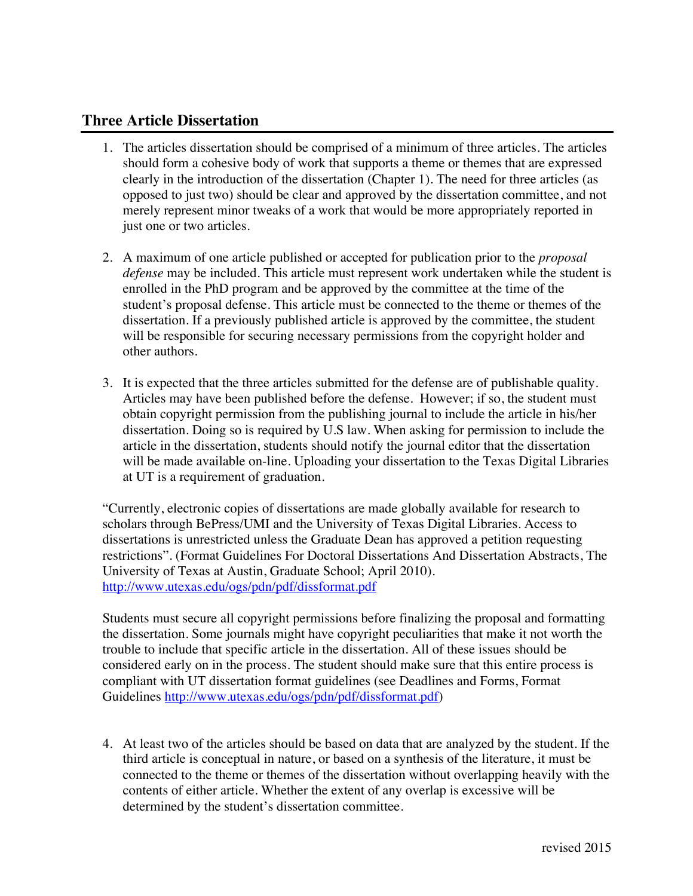## **Three Article Dissertation**

- 1. The articles dissertation should be comprised of a minimum of three articles. The articles should form a cohesive body of work that supports a theme or themes that are expressed clearly in the introduction of the dissertation (Chapter 1). The need for three articles (as opposed to just two) should be clear and approved by the dissertation committee, and not merely represent minor tweaks of a work that would be more appropriately reported in just one or two articles.
- 2. A maximum of one article published or accepted for publication prior to the *proposal defense* may be included. This article must represent work undertaken while the student is enrolled in the PhD program and be approved by the committee at the time of the student's proposal defense. This article must be connected to the theme or themes of the dissertation. If a previously published article is approved by the committee, the student will be responsible for securing necessary permissions from the copyright holder and other authors.
- 3. It is expected that the three articles submitted for the defense are of publishable quality. Articles may have been published before the defense. However; if so, the student must obtain copyright permission from the publishing journal to include the article in his/her dissertation. Doing so is required by U.S law. When asking for permission to include the article in the dissertation, students should notify the journal editor that the dissertation will be made available on-line. Uploading your dissertation to the Texas Digital Libraries at UT is a requirement of graduation.

"Currently, electronic copies of dissertations are made globally available for research to scholars through BePress/UMI and the University of Texas Digital Libraries. Access to dissertations is unrestricted unless the Graduate Dean has approved a petition requesting restrictions". (Format Guidelines For Doctoral Dissertations And Dissertation Abstracts, The University of Texas at Austin, Graduate School; April 2010). http://www.utexas.edu/ogs/pdn/pdf/dissformat.pdf

Students must secure all copyright permissions before finalizing the proposal and formatting the dissertation. Some journals might have copyright peculiarities that make it not worth the trouble to include that specific article in the dissertation. All of these issues should be considered early on in the process. The student should make sure that this entire process is compliant with UT dissertation format guidelines (see Deadlines and Forms, Format Guidelines http://www.utexas.edu/ogs/pdn/pdf/dissformat.pdf)

4. At least two of the articles should be based on data that are analyzed by the student. If the third article is conceptual in nature, or based on a synthesis of the literature, it must be connected to the theme or themes of the dissertation without overlapping heavily with the contents of either article. Whether the extent of any overlap is excessive will be determined by the student's dissertation committee.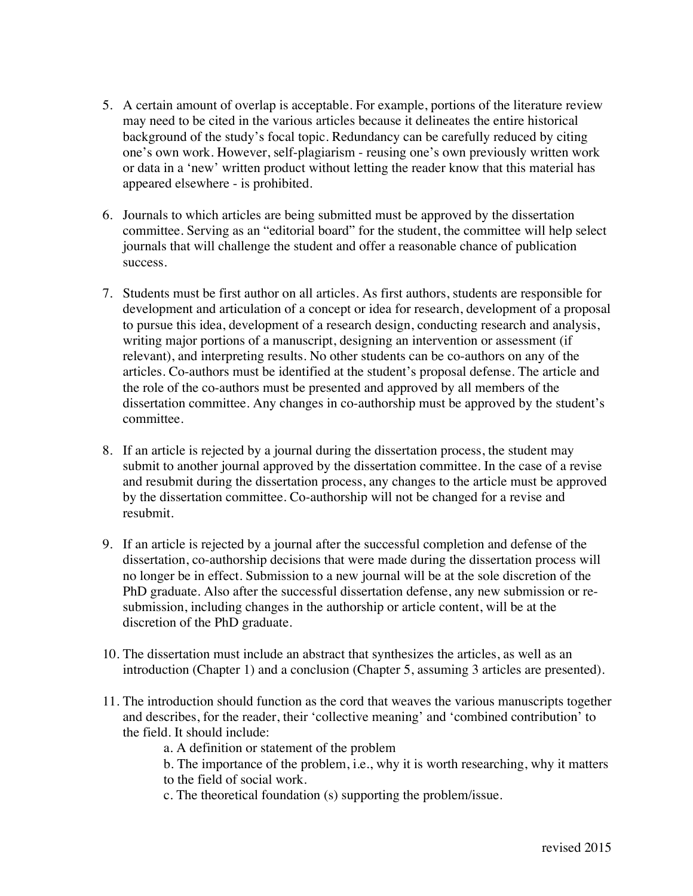- 5. A certain amount of overlap is acceptable. For example, portions of the literature review may need to be cited in the various articles because it delineates the entire historical background of the study's focal topic. Redundancy can be carefully reduced by citing one's own work. However, self-plagiarism - reusing one's own previously written work or data in a 'new' written product without letting the reader know that this material has appeared elsewhere - is prohibited.
- 6. Journals to which articles are being submitted must be approved by the dissertation committee. Serving as an "editorial board" for the student, the committee will help select journals that will challenge the student and offer a reasonable chance of publication success.
- 7. Students must be first author on all articles. As first authors, students are responsible for development and articulation of a concept or idea for research, development of a proposal to pursue this idea, development of a research design, conducting research and analysis, writing major portions of a manuscript, designing an intervention or assessment (if relevant), and interpreting results. No other students can be co-authors on any of the articles. Co-authors must be identified at the student's proposal defense. The article and the role of the co-authors must be presented and approved by all members of the dissertation committee. Any changes in co-authorship must be approved by the student's committee.
- 8. If an article is rejected by a journal during the dissertation process, the student may submit to another journal approved by the dissertation committee. In the case of a revise and resubmit during the dissertation process, any changes to the article must be approved by the dissertation committee. Co-authorship will not be changed for a revise and resubmit.
- 9. If an article is rejected by a journal after the successful completion and defense of the dissertation, co-authorship decisions that were made during the dissertation process will no longer be in effect. Submission to a new journal will be at the sole discretion of the PhD graduate. Also after the successful dissertation defense, any new submission or resubmission, including changes in the authorship or article content, will be at the discretion of the PhD graduate.
- 10. The dissertation must include an abstract that synthesizes the articles, as well as an introduction (Chapter 1) and a conclusion (Chapter 5, assuming 3 articles are presented).
- 11. The introduction should function as the cord that weaves the various manuscripts together and describes, for the reader, their 'collective meaning' and 'combined contribution' to the field. It should include:

a. A definition or statement of the problem

b. The importance of the problem, i.e., why it is worth researching, why it matters to the field of social work.

c. The theoretical foundation (s) supporting the problem/issue.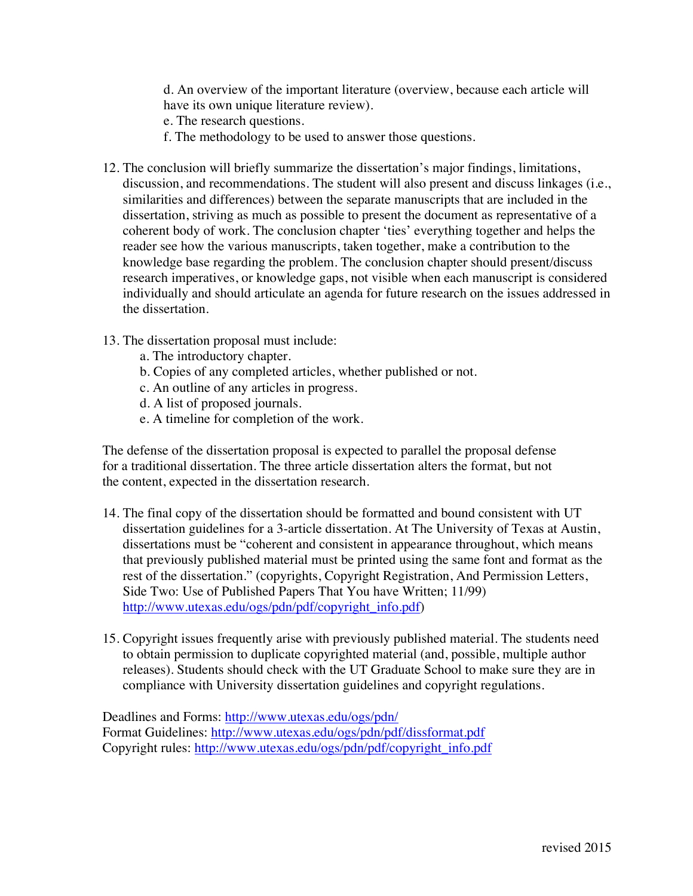d. An overview of the important literature (overview, because each article will have its own unique literature review).

e. The research questions.

- f. The methodology to be used to answer those questions.
- 12. The conclusion will briefly summarize the dissertation's major findings, limitations, discussion, and recommendations. The student will also present and discuss linkages (i.e., similarities and differences) between the separate manuscripts that are included in the dissertation, striving as much as possible to present the document as representative of a coherent body of work. The conclusion chapter 'ties' everything together and helps the reader see how the various manuscripts, taken together, make a contribution to the knowledge base regarding the problem. The conclusion chapter should present/discuss research imperatives, or knowledge gaps, not visible when each manuscript is considered individually and should articulate an agenda for future research on the issues addressed in the dissertation.
- 13. The dissertation proposal must include:
	- a. The introductory chapter.
	- b. Copies of any completed articles, whether published or not.
	- c. An outline of any articles in progress.
	- d. A list of proposed journals.
	- e. A timeline for completion of the work.

 The defense of the dissertation proposal is expected to parallel the proposal defense for a traditional dissertation. The three article dissertation alters the format, but not the content, expected in the dissertation research.

- 14. The final copy of the dissertation should be formatted and bound consistent with UT dissertation guidelines for a 3-article dissertation. At The University of Texas at Austin, dissertations must be "coherent and consistent in appearance throughout, which means that previously published material must be printed using the same font and format as the rest of the dissertation." (copyrights, Copyright Registration, And Permission Letters, Side Two: Use of Published Papers That You have Written; 11/99) http://www.utexas.edu/ogs/pdn/pdf/copyright\_info.pdf)
- 15. Copyright issues frequently arise with previously published material. The students need to obtain permission to duplicate copyrighted material (and, possible, multiple author releases). Students should check with the UT Graduate School to make sure they are in compliance with University dissertation guidelines and copyright regulations.

Deadlines and Forms: http://www.utexas.edu/ogs/pdn/ Format Guidelines: http://www.utexas.edu/ogs/pdn/pdf/dissformat.pdf Copyright rules: http://www.utexas.edu/ogs/pdn/pdf/copyright\_info.pdf